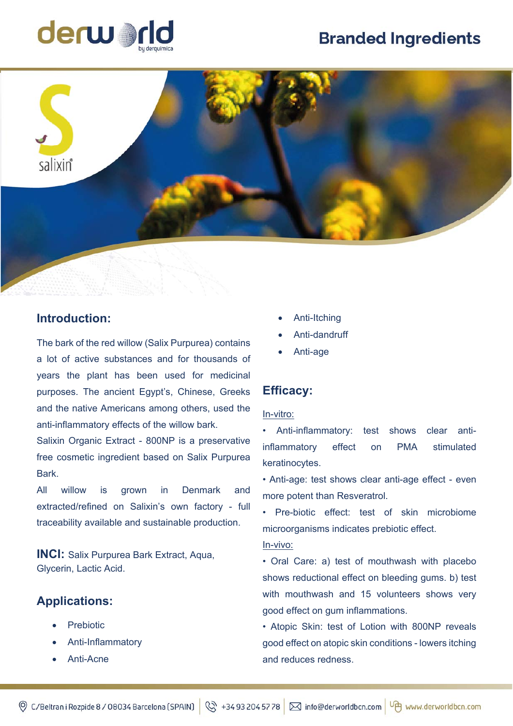# **Branded Ingredients**





## **Introduction:**

The bark of the red willow (Salix Purpurea) contains a lot of active substances and for thousands of years the plant has been used for medicinal purposes. The ancient Egypt's, Chinese, Greeks and the native Americans among others, used the anti-inflammatory effects of the willow bark.

Salixin Organic Extract - 800NP is a preservative free cosmetic ingredient based on Salix Purpurea Bark.

All willow is grown in Denmark and extracted/refined on Salixin's own factory - full traceability available and sustainable production.

**INCI:** Salix Purpurea Bark Extract, Aqua, Glycerin, Lactic Acid.

# **Applications:**

- Prebiotic
- Anti-Inflammatory
- Anti-Acne
- Anti-Itching
- Anti-dandruff
- Anti-age

## **Efficacy:**

#### In-vitro:

• Anti-inflammatory: test shows clear antiinflammatory effect on PMA stimulated keratinocytes.

• Anti-age: test shows clear anti-age effect - even more potent than Resveratrol.

• Pre-biotic effect: test of skin microbiome microorganisms indicates prebiotic effect.

### In-vivo:

• Oral Care: a) test of mouthwash with placebo shows reductional effect on bleeding gums. b) test with mouthwash and 15 volunteers shows very good effect on gum inflammations.

• Atopic Skin: test of Lotion with 800NP reveals good effect on atopic skin conditions - lowers itching and reduces redness.